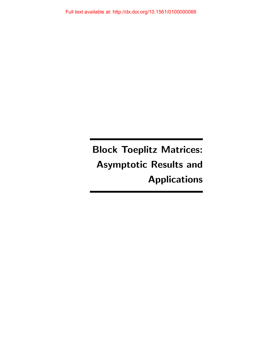Block Toeplitz Matrices: Asymptotic Results and Applications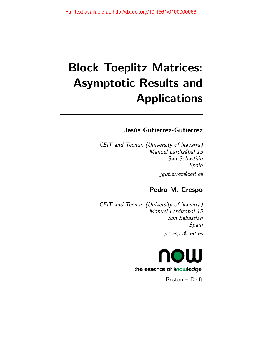# Block Toeplitz Matrices: Asymptotic Results and Applications

## Jesús Gutiérrez-Gutiérrez

CEIT and Tecnun (University of Navarra) Manuel Lardizábal 15 San Sebastián Spain jgutierrez@ceit.es

# Pedro M. Crespo

CEIT and Tecnun (University of Navarra) Manuel Lardizábal 15 San Sebastián Spain pcrespo@ceit.es



Boston – Delft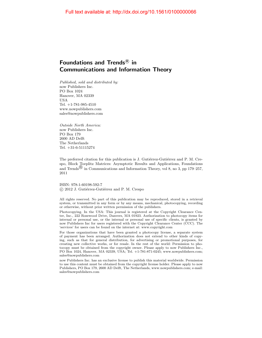### Foundations and Trends ${}^{\text{\textregistered}}$  in Communications and Information Theory

Published, sold and distributed by: now Publishers Inc. PO Box 1024 Hanover, MA 02339 USA Tel. +1-781-985-4510 www.nowpublishers.com sales@nowpublishers.com

Outside North America: now Publishers Inc. PO Box 179 2600 AD Delft The Netherlands Tel. +31-6-51115274

The preferred citation for this publication is J. Gutiérrez-Gutiérrez and P. M. Crespo, Block Toeplitz Matrices: Asymptotic Results and Applications, Foundations and Trends  $\mathbb{B}$  in Communications and Information Theory, vol 8, no 3, pp 179–257, 2011

ISBN: 978-1-60198-592-7  $\circ$  2012 J. Gutiérrez-Gutiérrez and P. M. Crespo

All rights reserved. No part of this publication may be reproduced, stored in a retrieval system, or transmitted in any form or by any means, mechanical, photocopying, recording or otherwise, without prior written permission of the publishers.

Photocopying. In the USA: This journal is registered at the Copyright Clearance Center, Inc., 222 Rosewood Drive, Danvers, MA 01923. Authorization to photocopy items for internal or personal use, or the internal or personal use of specific clients, is granted by now Publishers Inc for users registered with the Copyright Clearance Center (CCC). The 'services' for users can be found on the internet at: www.copyright.com

For those organizations that have been granted a photocopy license, a separate system of payment has been arranged. Authorization does not extend to other kinds of copying, such as that for general distribution, for advertising or promotional purposes, for creating new collective works, or for resale. In the rest of the world: Permission to photocopy must be obtained from the copyright owner. Please apply to now Publishers Inc., PO Box 1024, Hanover, MA 02339, USA; Tel. +1-781-871-0245; www.nowpublishers.com; sales@nowpublishers.com

now Publishers Inc. has an exclusive license to publish this material worldwide. Permission to use this content must be obtained from the copyright license holder. Please apply to now Publishers, PO Box 179, 2600 AD Delft, The Netherlands, www.nowpublishers.com; e-mail: sales@nowpublishers.com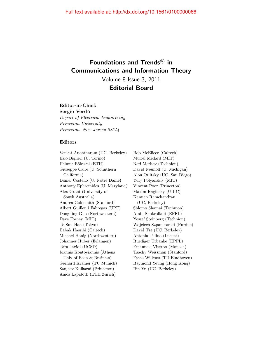# Foundations and Trends<sup>®</sup> in Communications and Information Theory Volume 8 Issue 3, 2011

### Editorial Board

#### Editor-in-Chief:

Sergio Verdú Depart of Electrical Engineering Princeton University Princeton, New Jersey 08544

#### Editors

Venkat Anantharam (UC. Berkeley) Ezio Biglieri (U. Torino) Helmut Bölcskei (ETH) Giuseppe Caire (U. Sounthern California) Daniel Costello (U. Notre Dame) Anthony Ephremides (U. Maryland) Alex Grant (University of South Australia) Andrea Goldsmith (Stanford) Albert Guillen i Fabregas (UPF) Dongning Guo (Northwestern) Dave Forney (MIT) Te Sun Han (Tokyo) Babak Hassibi (Caltech) Michael Honig (Northwestern) Johannes Huber (Erlangen) Tara Javidi (UCSD) Ioannis Kontoyiannis (Athens Univ of Econ & Business) Gerhard Kramer (TU Munich) Sanjeev Kulkarni (Princeton) Amos Lapidoth (ETH Zurich)

Bob McEliece (Caltech) Muriel Medard (MIT) Neri Merhav (Technion) David Neuhoff (U. Michigan) Alon Orlitsky (UC. San Diego) Yury Polyanskiy (MIT) Vincent Poor (Princeton) Maxim Raginsky (UIUC) Kannan Ramchandran (UC. Berkeley) Shlomo Shamai (Technion) Amin Shokrollahi (EPFL) Yossef Steinberg (Technion) Wojciech Szpankowski (Purdue) David Tse (UC. Berkeley) Antonia Tulino (Lucent) Ruediger Urbanke (EPFL) Emanuele Viterbo (Monash) Tsachy Weissman (Stanford) Frans Willems (TU Eindhoven) Raymond Yeung (Hong Kong) Bin Yu (UC. Berkeley)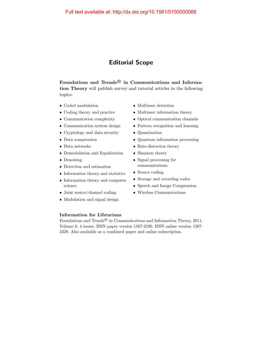### Editorial Scope

Foundations and Trends $^{\circledR}$  in Communications and Information Theory will publish survey and tutorial articles in the following topics:

- Coded modulation
- Coding theory and practice
- Communication complexity
- Communication system design
- Cryptology and data security
- Data compression
- Data networks
- Demodulation and Equalization
- Denoising
- Detection and estimation
- Information theory and statistics
- Information theory and computer science
- Joint source/channel coding
- Modulation and signal design

# Information for Librarians

- Multiuser detection
- Multiuser information theory
- Optical communication channels
- Pattern recognition and learning
- Quantization
- Quantum information processing
- Rate-distortion theory
- Shannon theory
- Signal processing for communications
- Source coding
- Storage and recording codes
- Speech and Image Compression
- Wireless Communications
- Foundations and Trends<sup>®</sup> in Communications and Information Theory, 2011, Volume 8, 4 issues. ISSN paper version 1567-2190. ISSN online version 1567- 2328. Also available as a combined paper and online subscription.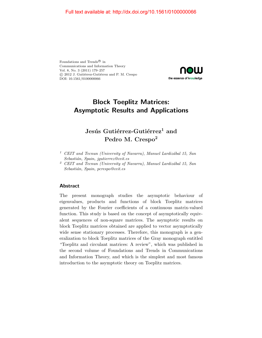Foundations and Trends<br> $^{\circledR}$  in Communications and Information Theory Vol. 8, No. 3 (2011) 179–257  $C$  2012 J. Gutiérrez-Gutiérrez and P. M. Crespo DOI: 10.1561/0100000066



### Block Toeplitz Matrices: Asymptotic Results and Applications

### Jesús Gutiérrez-Gutiérrez<sup>1</sup> and Pedro M. Crespo<sup>2</sup>

- $1$  CEIT and Tecnun (University of Navarra), Manuel Lardizábal 15, San Sebastián, Spain, jgutierrez@ceit.es
- $2$  CEIT and Tecnun (University of Navarra), Manuel Lardizábal 15, San Sebastián, Spain, pcrespo@ceit.es

#### **Abstract**

The present monograph studies the asymptotic behaviour of eigenvalues, products and functions of block Toeplitz matrices generated by the Fourier coefficients of a continuous matrix-valued function. This study is based on the concept of asymptotically equivalent sequences of non-square matrices. The asymptotic results on block Toeplitz matrices obtained are applied to vector asymptotically wide sense stationary processes. Therefore, this monograph is a generalization to block Toeplitz matrices of the Gray monograph entitled "Toeplitz and circulant matrices: A review", which was published in the second volume of Foundations and Trends in Communications and Information Theory, and which is the simplest and most famous introduction to the asymptotic theory on Toeplitz matrices.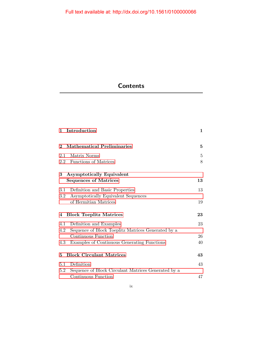# **Contents**

| 1                                   | Introduction                                                     | $\mathbf{1}$      |
|-------------------------------------|------------------------------------------------------------------|-------------------|
| $\mathbf 2$                         | <b>Mathematical Preliminaries</b>                                | 5                 |
| 2.1                                 | Matrix Norms                                                     | $\overline{5}$    |
|                                     | 2.2 Functions of Matrices                                        | 8                 |
| 3                                   | <b>Asymptotically Equivalent</b><br><b>Sequences of Matrices</b> | 13                |
| 3.1                                 | Definition and Basic Properties                                  | 13                |
| $3.2\,$                             | Asymptotically Equivalent Sequences                              |                   |
|                                     | of Hermitian Matrices                                            | 19                |
| <b>Block Toeplitz Matrices</b><br>4 |                                                                  | $\boldsymbol{23}$ |
| 4.1                                 | Definition and Examples                                          | 23                |
| 4.2                                 | Sequence of Block Toeplitz Matrices Generated by a               |                   |
|                                     | Continuous Function                                              | 26                |
| 4.3                                 | Examples of Continuous Generating Functions                      | 40                |
| 5                                   | <b>Block Circulant Matrices</b>                                  |                   |
| 5.1                                 | Definition                                                       | 43                |
| 5.2                                 | Sequence of Block Circulant Matrices Generated by a              |                   |
|                                     | Continuous Function                                              | 47                |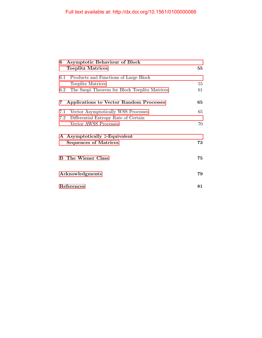| <b>Asymptotic Behaviour of Block</b><br>6<br><b>Toeplitz Matrices</b> | 55 |
|-----------------------------------------------------------------------|----|
| $6.1\,$<br>Products and Functions of Large Block                      |    |
| Toeplitz Matrices                                                     | 55 |
| The Szegö Theorem for Block Toeplitz Matrices<br>6.2                  | 61 |
| Applications to Vector Random Processes<br>7                          | 65 |
| Vector Asymptotically WSS Processes<br>7.1                            | 65 |
| Differential Entropy Rate of Certain<br>7.2                           |    |
| Vector AWSS Processes                                                 | 70 |
| A Asymptotically 2-Equivalent                                         |    |
| <b>Sequences of Matrices</b>                                          | 73 |
| <b>B</b> The Wiener Class                                             | 75 |
| Acknowledgments                                                       |    |
| References                                                            |    |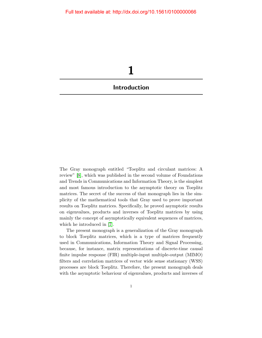<span id="page-9-0"></span>

The Gray monograph entitled "Toeplitz and circulant matrices: A review" [\[8\]](#page-13-1), which was published in the second volume of Foundations and Trends in Communications and Information Theory, is the simplest and most famous introduction to the asymptotic theory on Toeplitz matrices. The secret of the success of that monograph lies in the simplicity of the mathematical tools that Gray used to prove important results on Toeplitz matrices. Specifically, he proved asymptotic results on eigenvalues, products and inverses of Toeplitz matrices by using mainly the concept of asymptotically equivalent sequences of matrices, which he introduced in [\[7\]](#page-13-2).

The present monograph is a generalization of the Gray monograph to block Toeplitz matrices, which is a type of matrices frequently used in Communications, Information Theory and Signal Processing, because, for instance, matrix representations of discrete-time causal finite impulse response (FIR) multiple-input multiple-output (MIMO) filters and correlation matrices of vector wide sense stationary (WSS) processes are block Toeplitz. Therefore, the present monograph deals with the asymptotic behaviour of eigenvalues, products and inverses of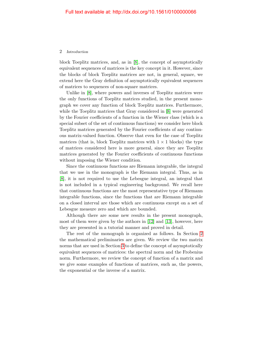#### 2 Introduction

block Toeplitz matrices, and, as in [\[8\]](#page-13-1), the concept of asymptotically equivalent sequences of matrices is the key concept in it. However, since the blocks of block Toeplitz matrices are not, in general, square, we extend here the Gray definition of asymptotically equivalent sequences of matrices to sequences of non-square matrices.

Unlike in [\[8\]](#page-13-1), where powers and inverses of Toeplitz matrices were the only functions of Toeplitz matrices studied, in the present monograph we cover any function of block Toeplitz matrices. Furthermore, while the Toeplitz matrices that Gray considered in [\[8\]](#page-13-1) were generated by the Fourier coefficients of a function in the Wiener class (which is a special subset of the set of continuous functions) we consider here block Toeplitz matrices generated by the Fourier coefficients of any continuous matrix-valued function. Observe that even for the case of Toeplitz matrices (that is, block Toeplitz matrices with  $1 \times 1$  blocks) the type of matrices considered here is more general, since they are Toeplitz matrices generated by the Fourier coefficients of continuous functions without imposing the Wiener condition.

Since the continuous functions are Riemann integrable, the integral that we use in the monograph is the Riemann integral. Thus, as in [\[8\]](#page-13-1), it is not required to use the Lebesgue integral, an integral that is not included in a typical engineering background. We recall here that continuous functions are the most representative type of Riemann integrable functions, since the functions that are Riemann integrable on a closed interval are those which are continuous except on a set of Lebesgue measure zero and which are bounded.

Although there are some new results in the present monograph, most of them were given by the authors in [\[12\]](#page-14-0) and [\[13\]](#page-14-1), however, here they are presented in a tutorial manner and proved in detail.

The rest of the monograph is organized as follows. In Section [2](#page--1-0) the mathematical preliminaries are given. We review the two matrix norms that are used in Section [3](#page--1-0) to define the concept of asymptotically equivalent sequences of matrices: the spectral norm and the Frobenius norm. Furthermore, we review the concept of function of a matrix and we give some examples of functions of matrices, such as, the powers, the exponential or the inverse of a matrix.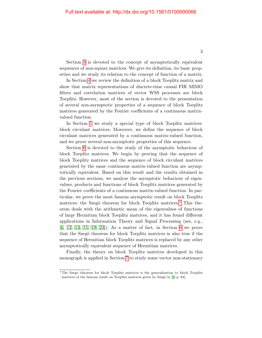Section [3](#page--1-0) is devoted to the concept of asymptotically equivalent sequences of non-square matrices. We give its definition, its basic properties and we study its relation to the concept of function of a matrix.

In Section [4](#page--1-0) we review the definition of a block Toeplitz matrix and show that matrix representations of discrete-time causal FIR MIMO filters and correlation matrices of vector WSS processes are block Toeplitz. However, most of the section is devoted to the presentation of several non-asymptotic properties of a sequence of block Toeplitz matrices generated by the Fourier coefficients of a continuous matrixvalued function.

In Section [5](#page--1-0) we study a special type of block Toeplitz matrices: block circulant matrices. Moreover, we define the sequence of block circulant matrices generated by a continuous matrix-valued function, and we prove several non-asymptotic properties of this sequence.

Section [6](#page--1-0) is devoted to the study of the asymptotic behaviour of block Toeplitz matrices. We begin by proving that the sequence of block Toeplitz matrices and the sequence of block circulant matrices generated by the same continuous matrix-valued function are asymptotically equivalent. Based on this result and the results obtained in the previous sections, we analyse the asymptotic behaviour of eigenvalues, products and functions of block Toeplitz matrices generated by the Fourier coefficients of a continuous matrix-valued function. In particular, we prove the most famous asymptotic result on block Toeplitz matrices: the Szegö theorem for block Toeplitz matrices.<sup>[1](#page-11-0)</sup> This theorem deals with the arithmetic mean of the eigenvalues of functions of large Hermitian block Toeplitz matrices, and it has found different applications in Information Theory and Signal Processing (see, e.g., [\[6,](#page-13-3) [12,](#page-14-0) [13,](#page-14-1) [15,](#page-14-2) [19,](#page-14-3) [23\]](#page-14-4)). As a matter of fact, in Section [6](#page--1-0) we prove that the Szegö theorem for block Toeplitz matrices is also true if the sequence of Hermitian block Toeplitz matrices is replaced by any other asymptotically equivalent sequence of Hermitian matrices.

Finally, the theory on block Toeplitz matrices developed in this monograph is applied in Section [7](#page--1-0) to study some vector non-stationary

<span id="page-11-0"></span> $1$ The Szegö theorem for block Toeplitz matrices is the generalization to block Toeplitz matrices of the famous result on Toeplitz matrices given by Szegö in [\[9,](#page-13-4) p. 64].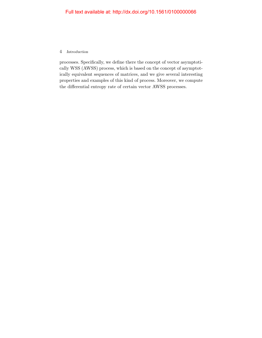#### 4 Introduction

processes. Specifically, we define there the concept of vector asymptotically WSS (AWSS) process, which is based on the concept of asymptotically equivalent sequences of matrices, and we give several interesting properties and examples of this kind of process. Moreover, we compute the differential entropy rate of certain vector AWSS processes.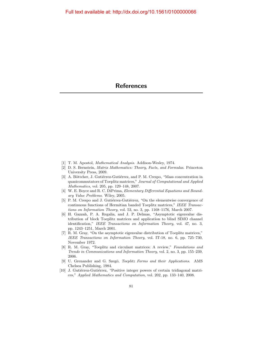### **References**

- <span id="page-13-0"></span>[1] T. M. Apostol, Mathematical Analysis. Addison-Wesley, 1974.
- [2] D. S. Bernstein, Matrix Mathematics: Theory, Facts, and Formulas. Princeton University Press, 2009.
- [3] A. Böttcher, J. Gutiérrez-Gutiérrez, and P. M. Crespo, "Mass concentration in quasicommutators of Toeplitz matrices," Journal of Computational and Applied Mathematics, vol. 205, pp. 129–148, 2007.
- [4] W. E. Boyce and R. C. DiPrima, Elementary Differential Equations and Boundary Value Problems. Wiley, 2005.
- [5] P. M. Crespo and J. Gutiérrez-Gutiérrez, "On the elementwise convergence of continuous functions of Hermitian banded Toeplitz matrices," IEEE Transactions on Information Theory, vol. 53, no. 3, pp. 1168–1176, March 2007.
- <span id="page-13-3"></span>[6] H. Gazzah, P. A. Regalia, and J. P. Delmas, "Asymptotic eigenvalue distribution of block Toeplitz matrices and application to blind SIMO channel identification," IEEE Transactions on Information Theory, vol. 47, no. 3, pp. 1243–1251, March 2001.
- <span id="page-13-2"></span>[7] R. M. Gray, "On the asymptotic eigenvalue distribution of Toeplitz matrices," IEEE Transactions on Information Theory, vol. IT-18, no. 6, pp. 725–730, November 1972.
- <span id="page-13-1"></span>[8] R. M. Gray, "Toeplitz and circulant matrices: A review," Foundations and Trends in Communications and Information Theory, vol. 2, no. 3, pp. 155–239, 2006.
- <span id="page-13-4"></span>[9] U. Grenander and G. Szegö, *Toeplitz Forms and their Applications.* AMS Chelsea Publishing, 1984.
- [10] J. Gutiérrez-Gutiérrez, "Positive integer powers of certain tridiagonal matrices," Applied Mathematics and Computation, vol. 202, pp. 133–140, 2008.